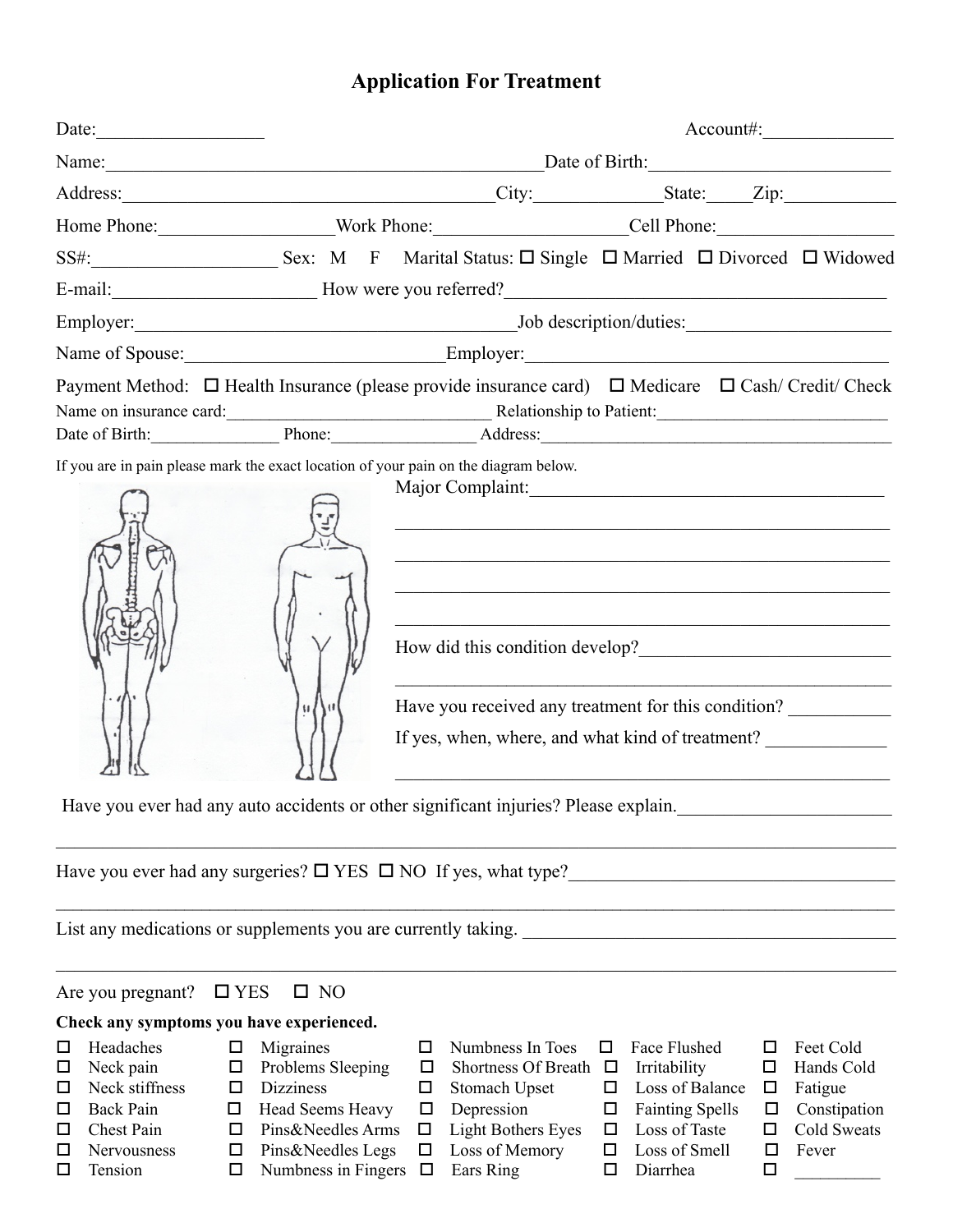## **Application For Treatment**

|                                                                                      |                                |                                                                                                                                                                                                                                                                                                                                                                                         |                                                                                                                        | $Account\#$ :                     |  |  |  |  |
|--------------------------------------------------------------------------------------|--------------------------------|-----------------------------------------------------------------------------------------------------------------------------------------------------------------------------------------------------------------------------------------------------------------------------------------------------------------------------------------------------------------------------------------|------------------------------------------------------------------------------------------------------------------------|-----------------------------------|--|--|--|--|
|                                                                                      |                                | Name: Date of Birth: Date of Birth:                                                                                                                                                                                                                                                                                                                                                     |                                                                                                                        |                                   |  |  |  |  |
|                                                                                      |                                |                                                                                                                                                                                                                                                                                                                                                                                         |                                                                                                                        |                                   |  |  |  |  |
|                                                                                      |                                |                                                                                                                                                                                                                                                                                                                                                                                         |                                                                                                                        |                                   |  |  |  |  |
|                                                                                      |                                | SS#: Sex: M F Marital Status: □ Single □ Married □ Divorced □ Widowed                                                                                                                                                                                                                                                                                                                   |                                                                                                                        |                                   |  |  |  |  |
|                                                                                      |                                |                                                                                                                                                                                                                                                                                                                                                                                         |                                                                                                                        |                                   |  |  |  |  |
|                                                                                      |                                |                                                                                                                                                                                                                                                                                                                                                                                         |                                                                                                                        |                                   |  |  |  |  |
|                                                                                      |                                | Name of Spouse: <u>Charles Communications</u> Employer: Charles Communications Communications Charles Communications Communications Communications Communications Communications Communications Communications Communications Commu                                                                                                                                                     |                                                                                                                        |                                   |  |  |  |  |
| If you are in pain please mark the exact location of your pain on the diagram below. |                                | Payment Method: □ Health Insurance (please provide insurance card) □ Medicare □ Cash/ Credit/ Check<br>Name on insurance card: Relationship to Patient: Manus Care and School and School and School and School and School and School and School and School and School and School and School and School and School and School and Scho<br>Date of Birth: Phone: Phone: Address: Address: |                                                                                                                        |                                   |  |  |  |  |
|                                                                                      | M<br>$\mathbf{u}$              | Major Complaint: 1996<br>Have you received any treatment for this condition?<br>If yes, when, where, and what kind of treatment?<br>Have you ever had any auto accidents or other significant injuries? Please explain.                                                                                                                                                                 | <u> 1990 - Paul Barbara, prima matematika matematika matematika matematika matematika matematika matematika matema</u> |                                   |  |  |  |  |
| Have you ever had any surgeries? $\square$ YES $\square$ NO If yes, what type?       |                                |                                                                                                                                                                                                                                                                                                                                                                                         |                                                                                                                        |                                   |  |  |  |  |
|                                                                                      |                                |                                                                                                                                                                                                                                                                                                                                                                                         |                                                                                                                        |                                   |  |  |  |  |
| Are you pregnant? $\Box$ YES                                                         | $\square$ NO                   |                                                                                                                                                                                                                                                                                                                                                                                         |                                                                                                                        |                                   |  |  |  |  |
| Check any symptoms you have experienced.                                             |                                |                                                                                                                                                                                                                                                                                                                                                                                         |                                                                                                                        |                                   |  |  |  |  |
| Headaches<br>$\Box$<br>□<br>Neck pain<br>□<br>$\Box$                                 | Migraines<br>Problems Sleeping | Numbness In Toes<br>Shortness Of Breath $\Box$<br>□                                                                                                                                                                                                                                                                                                                                     | Face Flushed<br>□<br>Irritability                                                                                      | Feet Cold<br>ப<br>Hands Cold<br>□ |  |  |  |  |

- $\Box$  Neck stiffness  $\Box$  Dizziness  $\Box$  Stomach Upset  $\Box$  Loss of Balance  $\Box$  Fatigue
- 
- 
- 
- 
- $\Box$  Chest Pain  $\Box$  Pins&Needles Arms  $\Box$  Light Bothers Eyes  $\Box$  Loss of Taste  $\Box$  Cold Sweats
- $\Box$  Nervousness  $\Box$  Pins&Needles Legs  $\Box$  Loss of Memory  $\Box$  Loss of Smell  $\Box$  Fever
- $\Box$  Tension  $\Box$  Numbness in Fingers  $\Box$  Ears Ring  $\Box$  Diarrhea  $\Box$
- -
- - -
- 
- $\Box$  Back Pain  $\Box$  Head Seems Heavy  $\Box$  Depression  $\Box$  Fainting Spells  $\Box$  Constipation
	-
	-
	-
- 
- 
- 
- 
-